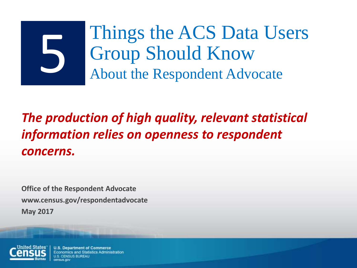

## *The production of high quality, relevant statistical information relies on openness to respondent concerns.*

**Office of the Respondent Advocate www.census.gov/respondentadvocate May 2017**



**U.S. Department of Commerce** nomics and Statistics Administration SUS BURFAU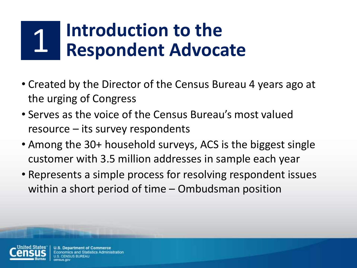#### **Introduction to the Respondent Advocate** 1

- Created by the Director of the Census Bureau 4 years ago at the urging of Congress
- Serves as the voice of the Census Bureau's most valued resource – its survey respondents
- Among the 30+ household surveys, ACS is the biggest single customer with 3.5 million addresses in sample each year
- Represents a simple process for resolving respondent issues within a short period of time – Ombudsman position



**Department of Commerce** and Statistics Administration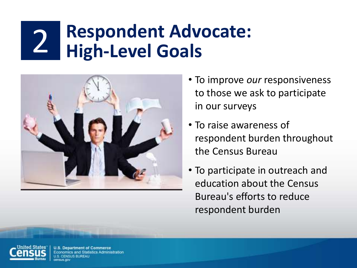#### 2 **Respondent Advocate: High-Level Goals**



- To improve *our* responsiveness to those we ask to participate in our surveys
- To raise awareness of respondent burden throughout the Census Bureau
- To participate in outreach and education about the Census Bureau's efforts to reduce respondent burden



**U.S. Department of Commerce** omics and Statistics Administration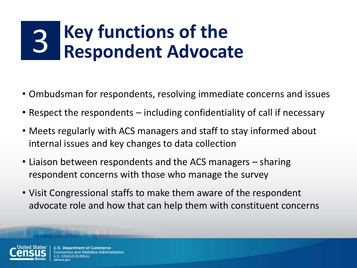#### **Key functions of the Respondent Advocate** 13

- Ombudsman for respondents, resolving immediate concerns and issues
- Respect the respondents including confidentiality of call if necessary
- Meets regularly with ACS managers and staff to stay informed about internal issues and key changes to data collection
- Liaison between respondents and the ACS managers sharing respondent concerns with those who manage the survey
- Visit Congressional staffs to make them aware of the respondent advocate role and how that can help them with constituent concerns



**Department of Commerce** and Statistics Administration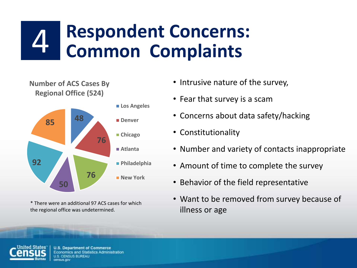#### 4 **Respondent Concerns: Common Complaints**



\* There were an additional 97 ACS cases for which the regional office was undetermined.

- Intrusive nature of the survey,
- Fear that survey is a scam
- Concerns about data safety/hacking
- Constitutionality
- Number and variety of contacts inappropriate
- Amount of time to complete the survey
- Behavior of the field representative
- Want to be removed from survey because of illness or age



**U.S. Department of Commerce** omics and Statistics Administration **US BURFAU**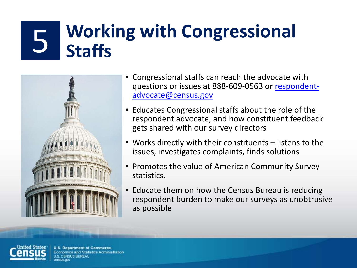# **Working with Congressional** 5 **Staffs**



- Congressional staffs can reach the advocate with [questions or issues at 888-609-0563 or respondent](mailto:respondent-advocate@census.gov)advocate@census.gov
- Educates Congressional staffs about the role of the respondent advocate, and how constituent feedback gets shared with our survey directors
- Works directly with their constituents listens to the issues, investigates complaints, finds solutions
- Promotes the value of American Community Survey statistics.
- Educate them on how the Census Bureau is reducing respondent burden to make our surveys as unobtrusive as possible



**U.S. Department of Commerce Economics and Statistics Administration HE BHOCAL**